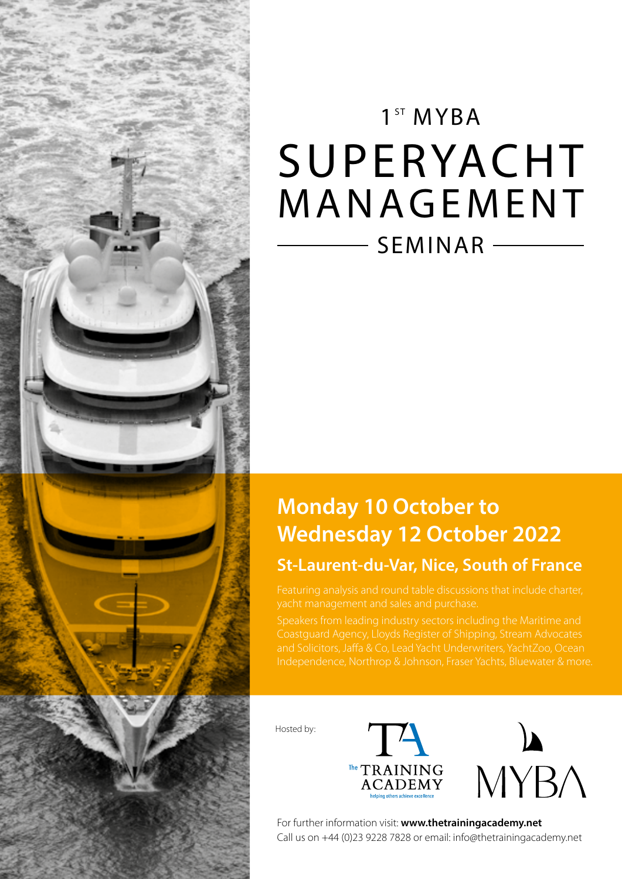

# 1<sup>ST</sup> MYBA SUPERYACHT MANAGEMENT SEMINAR

# **Monday 10 October to Wednesday 12 October 2022**

### **St-Laurent-du-Var, Nice, South of France**

yacht management and sales and purchase.

and Solicitors, Jaffa & Co, Lead Yacht Underwriters, YachtZoo, Ocean Independence, Northrop & Johnson, Fraser Yachts, Bluewater & more.

Hosted by:





For further information visit: **www.thetrainingacademy.net** Call us on +44 (0)23 9228 7828 or email: info@thetrainingacademy.net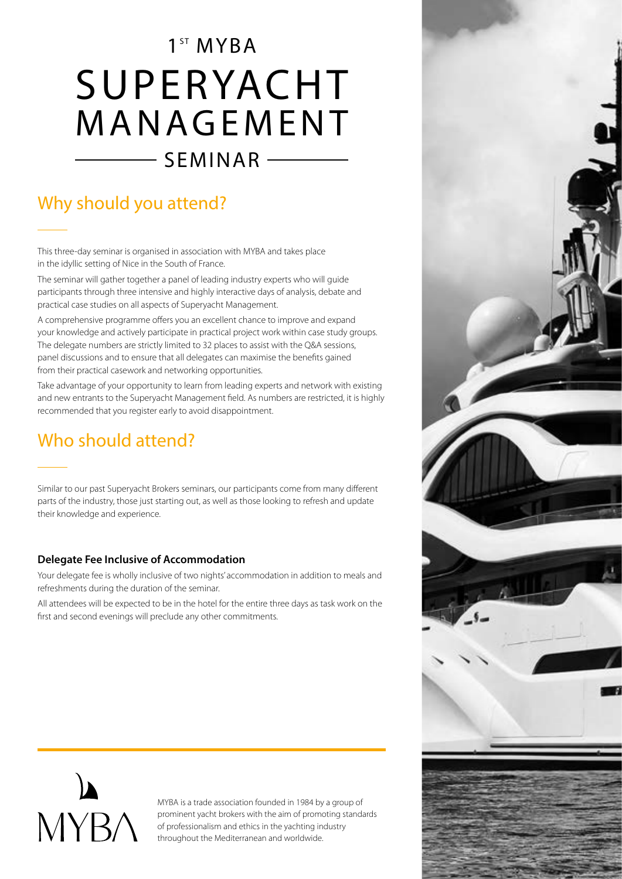# 1<sup>ST</sup> MYBA SUPERYACHT MANAGEMENT  $\overline{\phantom{0}}$  SEMINAR  $\overline{\phantom{0}}$

# Why should you attend?

This three-day seminar is organised in association with MYBA and takes place in the idyllic setting of Nice in the South of France.

The seminar will gather together a panel of leading industry experts who will guide participants through three intensive and highly interactive days of analysis, debate and practical case studies on all aspects of Superyacht Management.

A comprehensive programme offers you an excellent chance to improve and expand your knowledge and actively participate in practical project work within case study groups. The delegate numbers are strictly limited to 32 places to assist with the Q&A sessions, panel discussions and to ensure that all delegates can maximise the benefits gained from their practical casework and networking opportunities.

Take advantage of your opportunity to learn from leading experts and network with existing and new entrants to the Superyacht Management field. As numbers are restricted, it is highly recommended that you register early to avoid disappointment.

## Who should attend?

Similar to our past Superyacht Brokers seminars, our participants come from many different parts of the industry, those just starting out, as well as those looking to refresh and update their knowledge and experience.

#### **Delegate Fee Inclusive of Accommodation**

Your delegate fee is wholly inclusive of two nights' accommodation in addition to meals and refreshments during the duration of the seminar.

All attendees will be expected to be in the hotel for the entire three days as task work on the first and second evenings will preclude any other commitments.



MYBA is a trade association founded in 1984 by a group of prominent yacht brokers with the aim of promoting standards of professionalism and ethics in the yachting industry throughout the Mediterranean and worldwide.

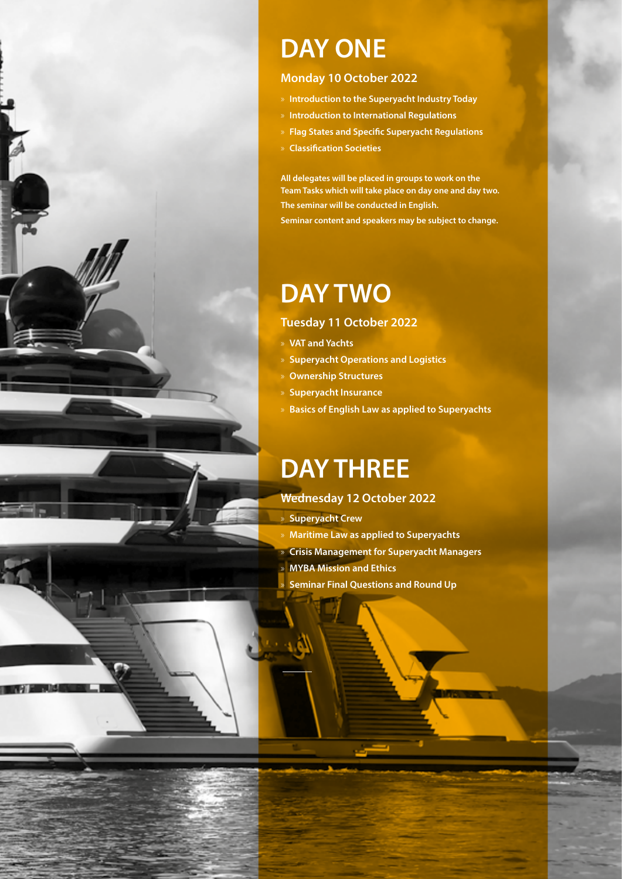

# **DAY ONE**

#### **Monday 10 October 2022**

- » **Introduction to the Superyacht Industry Today**
- » **Introduction to International Regulations**
- » **Flag States and Specific Superyacht Regulations**
- » **Classification Societies**

**All delegates will be placed in groups to work on the Team Tasks which will take place on day one and day two. The seminar will be conducted in English. Seminar content and speakers may be subject to change.**

# **DAY TWO**

#### **Tuesday 11 October 2022**

- » **VAT and Yachts**
- » **Superyacht Operations and Logistics**
- » **Ownership Structures**
- » **Superyacht Insurance**
- » **Basics of English Law as applied to Superyachts**

# **DAY THREE**

### **Wednesday 12 October 2022**

» **Superyacht Crew**

- » **Maritime Law as applied to Superyachts**
- » **Crisis Management for Superyacht Managers**
- » **MYBA Mission and Ethics**
- » **Seminar Final Questions and Round Up**